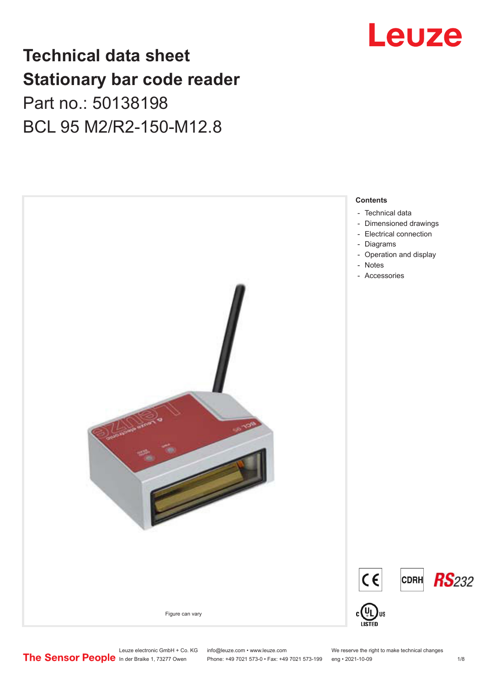

# **Technical data sheet Stationary bar code reader** Part no.: 50138198 BCL 95 M2/R2-150-M12.8



Leuze electronic GmbH + Co. KG info@leuze.com • www.leuze.com We reserve the right to make technical changes<br>
The Sensor People in der Braike 1, 73277 Owen Phone: +49 7021 573-0 • Fax: +49 7021 573-199 eng • 2021-10-09 Phone: +49 7021 573-0 • Fax: +49 7021 573-199 eng • 2021-10-09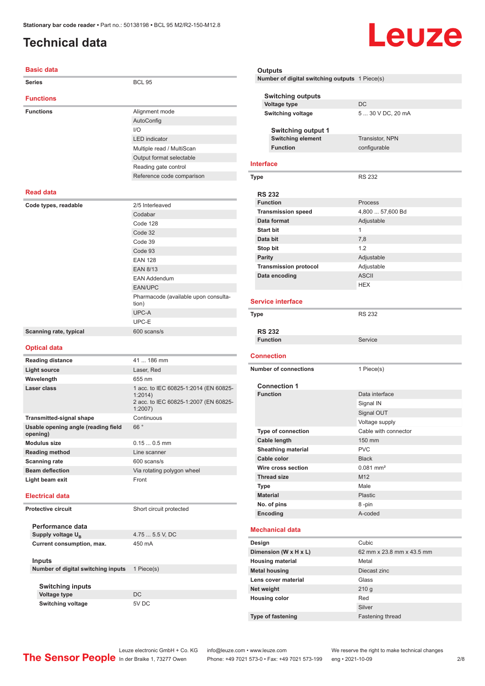# <span id="page-1-0"></span>**Technical data**

#### **Basic data**

| <b>Series</b>           | <b>BCL 95</b>                                 |
|-------------------------|-----------------------------------------------|
| <b>Functions</b>        |                                               |
| <b>Functions</b>        | Alignment mode                                |
|                         | AutoConfig                                    |
|                         | 1/O                                           |
|                         | <b>LED</b> indicator                          |
|                         | Multiple read / MultiScan                     |
|                         | Output format selectable                      |
|                         | Reading gate control                          |
|                         | Reference code comparison                     |
| <b>Read data</b>        |                                               |
| Code types, readable    | 2/5 Interleaved                               |
|                         | Codabar                                       |
|                         | Code 128                                      |
|                         | Code 32                                       |
|                         | Code 39                                       |
|                         | Code 93                                       |
|                         | <b>EAN 128</b>                                |
|                         | <b>EAN 8/13</b>                               |
|                         | <b>EAN Addendum</b>                           |
|                         | <b>EAN/UPC</b>                                |
|                         | Pharmacode (available upon consulta-<br>tion) |
|                         | UPC-A                                         |
|                         | UPC-E                                         |
| Scanning rate, typical  | 600 scans/s                                   |
|                         |                                               |
| <b>Optical data</b>     |                                               |
| <b>Reading distance</b> | 41  186 mm                                    |
| <b>Light source</b>     | Laser, Red                                    |

| Wavelength                                      | 655 nm                                                                                             |
|-------------------------------------------------|----------------------------------------------------------------------------------------------------|
| Laser class                                     | 1 acc. to IEC 60825-1:2014 (EN 60825-<br>1:2014<br>2 acc. to IEC 60825-1:2007 (EN 60825-<br>1:2007 |
| <b>Transmitted-signal shape</b>                 | Continuous                                                                                         |
| Usable opening angle (reading field<br>opening) | 66°                                                                                                |
| Modulus size                                    | $0.150.5$ mm                                                                                       |
| <b>Reading method</b>                           | Line scanner                                                                                       |
| <b>Scanning rate</b>                            | 600 scans/s                                                                                        |
| <b>Beam deflection</b>                          | Via rotating polygon wheel                                                                         |
| Light beam exit                                 | Front                                                                                              |
| <b>Electrical data</b>                          |                                                                                                    |

**Protective circuit** Short circuit protected **Performance data Supply voltage U<sub>B</sub>** 4.75 ... 5.5 V, DC

**Current consumption, max.** 450 mA

#### **Inputs Number of digital switching inputs** 1 Piece(s)

**Switching inputs Voltage type** DC **Switching voltage** 5V DC

### **Outputs Number of digital switching outputs** 1 Piece(s) **Switching outputs**

| Voltage type             | DC.                    |
|--------------------------|------------------------|
| <b>Switching voltage</b> | 5  30 V DC, 20 mA      |
| Switching output 1       |                        |
| <b>Switching element</b> | <b>Transistor, NPN</b> |
| <b>Function</b>          | configurable           |
|                          |                        |

Leuze

#### **Interface**

| Type                         | <b>RS 232</b>    |  |
|------------------------------|------------------|--|
| <b>RS 232</b>                |                  |  |
| <b>Function</b>              | <b>Process</b>   |  |
| <b>Transmission speed</b>    | 4,800  57,600 Bd |  |
| Data format                  | Adjustable       |  |
| <b>Start bit</b>             | 1                |  |
| Data bit                     | 7,8              |  |
| Stop bit                     | 1.2              |  |
| Parity                       | Adjustable       |  |
| <b>Transmission protocol</b> | Adjustable       |  |
| Data encoding                | <b>ASCII</b>     |  |
|                              | <b>HEX</b>       |  |

#### **Service interface**

| <b>Type</b>     | <b>RS 232</b> |
|-----------------|---------------|
| <b>RS 232</b>   |               |
| <b>Function</b> | Service       |
|                 |               |

#### **Connection Number of connections** 1 Piece(s) **Connection 1 Data interface** Signal IN Signal OUT

|  |                           | uynar vu r                |
|--|---------------------------|---------------------------|
|  |                           | Voltage supply            |
|  | <b>Type of connection</b> | Cable with connector      |
|  | Cable length              | 150 mm                    |
|  | <b>Sheathing material</b> | <b>PVC</b>                |
|  | Cable color               | <b>Black</b>              |
|  | Wire cross section        | $0.081$ mm <sup>2</sup>   |
|  | <b>Thread size</b>        | M <sub>12</sub>           |
|  | <b>Type</b>               | Male                      |
|  | <b>Material</b>           | Plastic                   |
|  | No. of pins               | 8-pin                     |
|  | Encoding                  | A-coded                   |
|  | <b>Mechanical data</b>    |                           |
|  | Design                    | Cubic                     |
|  | Dimension (W x H x L)     | 62 mm x 23.8 mm x 43.5 mm |
|  | <b>Housing material</b>   | Metal                     |
|  | <b>Metal housing</b>      | Diecast zinc              |
|  |                           |                           |

**Lens cover material Class** Glass **Net weight** 210 g **Housing color** Red Silver **Type of fastening** Fastening thread

**Mechanical data**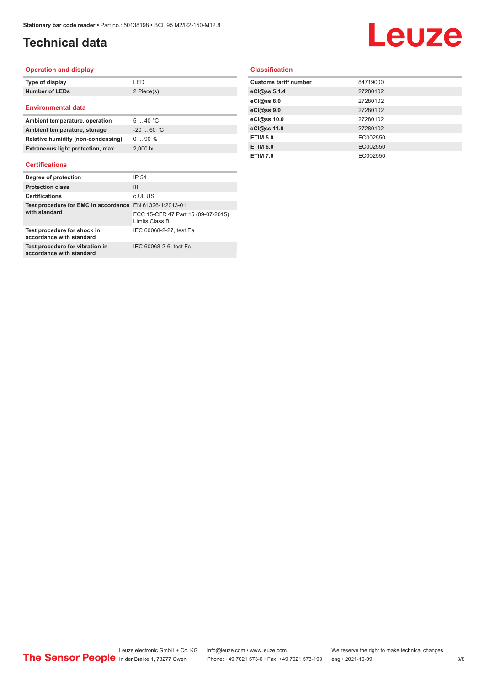# **Technical data**

# Leuze

#### **Operation and display**

| Type of display           | I FD.      |
|---------------------------|------------|
| <b>Number of LEDs</b>     | 2 Piece(s) |
| <b>Environmental data</b> |            |

| Ambient temperature, operation     | 540 °C                |
|------------------------------------|-----------------------|
| Ambient temperature, storage       | $-2060 °C$            |
| Relative humidity (non-condensing) | $090\%$               |
| Extraneous light protection, max.  | $2.000$ $\mathsf{lx}$ |

#### **Certifications**

| Degree of protection                                                     | IP 54                                                |
|--------------------------------------------------------------------------|------------------------------------------------------|
| <b>Protection class</b>                                                  | Ш                                                    |
| <b>Certifications</b>                                                    | c UL US                                              |
| Test procedure for EMC in accordance EN 61326-1:2013-01<br>with standard |                                                      |
|                                                                          | FCC 15-CFR 47 Part 15 (09-07-2015)<br>Limits Class B |
| Test procedure for shock in<br>accordance with standard                  | IEC 60068-2-27, test Ea                              |
| Test procedure for vibration in<br>accordance with standard              | IEC 60068-2-6, test Fc                               |

#### **Classification**

| <b>Customs tariff number</b> | 84719000 |
|------------------------------|----------|
| eCl@ss 5.1.4                 | 27280102 |
| eCl@ss 8.0                   | 27280102 |
| eCl@ss 9.0                   | 27280102 |
| eCl@ss 10.0                  | 27280102 |
| eCl@ss 11.0                  | 27280102 |
| <b>ETIM 5.0</b>              | EC002550 |
| <b>ETIM 6.0</b>              | EC002550 |
| <b>ETIM 7.0</b>              | EC002550 |
|                              |          |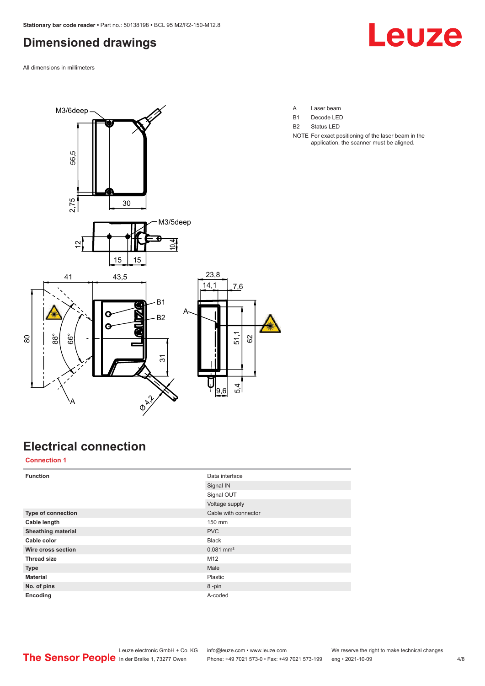# <span id="page-3-0"></span>**Dimensioned drawings**

All dimensions in millimeters





**Electrical connection**

**Connection 1**

| <b>Function</b>           | Data interface          |
|---------------------------|-------------------------|
|                           | Signal IN               |
|                           | Signal OUT              |
|                           | Voltage supply          |
| Type of connection        | Cable with connector    |
| Cable length              | 150 mm                  |
| <b>Sheathing material</b> | <b>PVC</b>              |
| Cable color               | <b>Black</b>            |
| Wire cross section        | $0.081$ mm <sup>2</sup> |
| <b>Thread size</b>        | M12                     |
| <b>Type</b>               | Male                    |
| <b>Material</b>           | Plastic                 |
| No. of pins               | 8-pin                   |
| Encoding                  | A-coded                 |
|                           |                         |

- A Laser beam
- B1 Decode LED
- B2 Status LED
- NOTE For exact positioning of the laser beam in the application, the scanner must be aligned.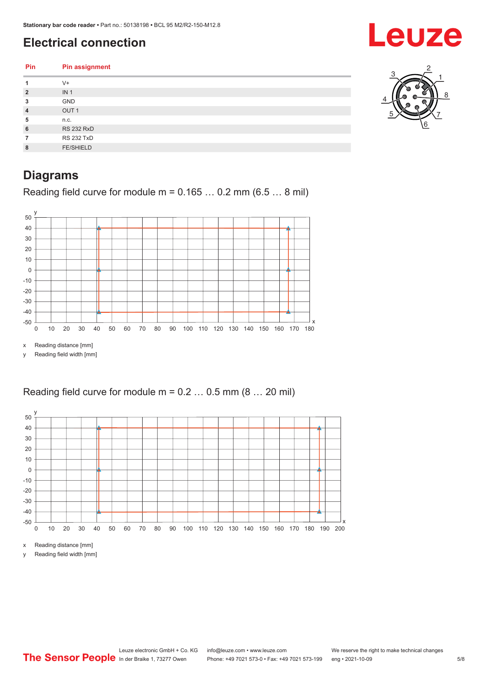# <span id="page-4-0"></span>**Electrical connection**

| Pin            | <b>Pin assignment</b> | ◠ |
|----------------|-----------------------|---|
| 1              | $V +$                 |   |
| $\overline{2}$ | IN <sub>1</sub>       | e |
| 3              | GND                   |   |
| 4              | OUT <sub>1</sub>      | w |
| 5              | n.c.                  |   |
| 6              | <b>RS 232 RxD</b>     |   |
| $\overline{7}$ | <b>RS 232 TxD</b>     |   |
| 8              | <b>FE/SHIELD</b>      |   |
|                |                       |   |

# **Diagrams**

Reading field curve for module  $m = 0.165...0.2$  mm (6.5 ... 8 mil)



x Reading distance [mm]

y Reading field width [mm]

#### Reading field curve for module  $m = 0.2 \dots 0.5$  mm  $(8 \dots 20$  mil)



x Reading distance [mm]

y Reading field width [mm]



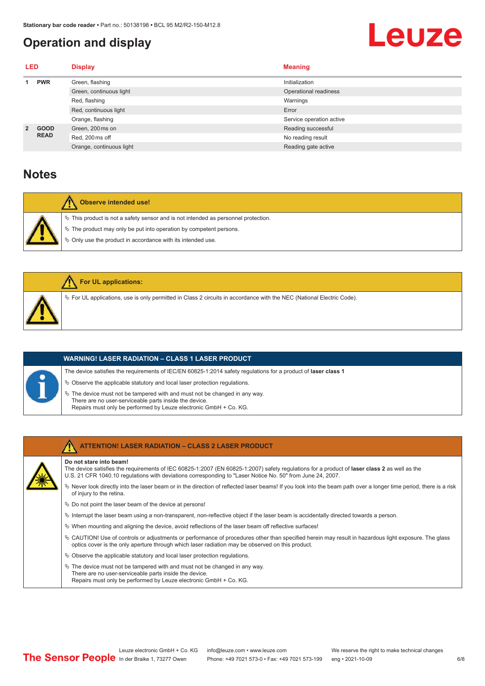# <span id="page-5-0"></span>**Operation and display**

# Leuze

| <b>LED</b>     |                            | <b>Display</b>           | <b>Meaning</b>           |
|----------------|----------------------------|--------------------------|--------------------------|
|                | <b>PWR</b>                 | Green, flashing          | Initialization           |
|                |                            | Green, continuous light  | Operational readiness    |
|                |                            | Red, flashing            | Warnings                 |
|                |                            | Red, continuous light    | Error                    |
|                |                            | Orange, flashing         | Service operation active |
| $\overline{2}$ | <b>GOOD</b><br><b>READ</b> | Green, 200 ms on         | Reading successful       |
|                |                            | Red, 200 ms off          | No reading result        |
|                |                            | Orange, continuous light | Reading gate active      |

#### **Notes**

| Observe intended use!                                                                                                                                                                                                            |
|----------------------------------------------------------------------------------------------------------------------------------------------------------------------------------------------------------------------------------|
| $\%$ This product is not a safety sensor and is not intended as personnel protection.<br>$\%$ The product may only be put into operation by competent persons.<br>$\%$ Only use the product in accordance with its intended use. |

| For UL applications:                                                                                                     |
|--------------------------------------------------------------------------------------------------------------------------|
| $\%$ For UL applications, use is only permitted in Class 2 circuits in accordance with the NEC (National Electric Code). |

| <b>WARNING! LASER RADIATION – CLASS 1 LASER PRODUCT</b>                                                                                                                                                      |
|--------------------------------------------------------------------------------------------------------------------------------------------------------------------------------------------------------------|
| The device satisfies the requirements of IEC/EN 60825-1:2014 safety requlations for a product of laser class 1                                                                                               |
| $\%$ Observe the applicable statutory and local laser protection regulations.                                                                                                                                |
| $\%$ The device must not be tampered with and must not be changed in any way.<br>There are no user-serviceable parts inside the device.<br>Repairs must only be performed by Leuze electronic GmbH + Co. KG. |



#### **ATTENTION! LASER RADIATION – CLASS 2 LASER PRODUCT**

#### **Do not stare into beam!**

- The device satisfies the requirements of IEC 60825-1:2007 (EN 60825-1:2007) safety regulations for a product of **laser class 2** as well as the U.S. 21 CFR 1040.10 regulations with deviations corresponding to "Laser Notice No. 50" from June 24, 2007.
- ª Never look directly into the laser beam or in the direction of reflected laser beams! If you look into the beam path over a longer time period, there is a risk of injury to the retina.
- $\%$  Do not point the laser beam of the device at persons!
- $\%$  Interrupt the laser beam using a non-transparent, non-reflective object if the laser beam is accidentally directed towards a person.
- $\%$  When mounting and aligning the device, avoid reflections of the laser beam off reflective surfaces!
- ª CAUTION! Use of controls or adjustments or performance of procedures other than specified herein may result in hazardous light exposure. The glass optics cover is the only aperture through which laser radiation may be observed on this product.
- $\%$  Observe the applicable statutory and local laser protection regulations.
- $\%$  The device must not be tampered with and must not be changed in any way.
- There are no user-serviceable parts inside the device. Repairs must only be performed by Leuze electronic GmbH + Co. KG.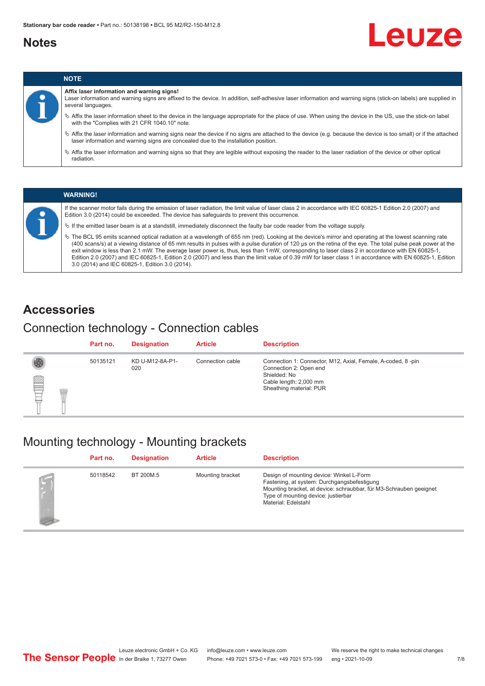### <span id="page-6-0"></span>**Notes**

# Leuze



# **NOTE**

**Affix laser information and warning signs!**

Laser information and warning signs are affixed to the device. In addition, self-adhesive laser information and warning signs (stick-on labels) are supplied in several languages.

- ª Affix the laser information sheet to the device in the language appropriate for the place of use. When using the device in the US, use the stick-on label with the "Complies with 21 CFR 1040.10" note.
- ª Affix the laser information and warning signs near the device if no signs are attached to the device (e.g. because the device is too small) or if the attached laser information and warning signs are concealed due to the installation position.
- $\%$  Affix the laser information and warning signs so that they are legible without exposing the reader to the laser radiation of the device or other optical radiation.

#### **WARNING!**

If the scanner motor fails during the emission of laser radiation, the limit value of laser class 2 in accordance with IEC 60825-1 Edition 2.0 (2007) and Edition 3.0 (2014) could be exceeded. The device has safeguards to prevent this occurrence.

 $\%$  If the emitted laser beam is at a standstill, immediately disconnect the faulty bar code reader from the voltage supply.

ª The BCL 95 emits scanned optical radiation at a wavelength of 655 nm (red). Looking at the device's mirror and operating at the lowest scanning rate (400 scans/s) at a viewing distance of 65 mm results in pulses with a pulse duration of 120 µs on the retina of the eye. The total pulse peak power at the exit window is less than 2.1 mW. The average laser power is, thus, less than 1 mW, corresponding to laser class 2 in accordance with EN 60825-1, Edition 2.0 (2007) and IEC 60825-1, Edition 2.0 (2007) and less than the limit value of 0.39 mW for laser class 1 in accordance with EN 60825-1, Edition 3.0 (2014) and IEC 60825-1, Edition 3.0 (2014).

#### **Accessories**

#### Connection technology - Connection cables

|   | Part no. | <b>Designation</b>     | <b>Article</b>   | <b>Description</b>                                                                                                                                         |
|---|----------|------------------------|------------------|------------------------------------------------------------------------------------------------------------------------------------------------------------|
| § | 50135121 | KD U-M12-8A-P1-<br>020 | Connection cable | Connection 1: Connector, M12, Axial, Female, A-coded, 8-pin<br>Connection 2: Open end<br>Shielded: No<br>Cable length: 2,000 mm<br>Sheathing material: PUR |

### Mounting technology - Mounting brackets

|                | Part no. | <b>Designation</b> | <b>Article</b>   | <b>Description</b>                                                                                                                                                                                                          |
|----------------|----------|--------------------|------------------|-----------------------------------------------------------------------------------------------------------------------------------------------------------------------------------------------------------------------------|
| $\mathfrak{g}$ | 50118542 | BT 200M.5          | Mounting bracket | Design of mounting device: Winkel L-Form<br>Fastening, at system: Durchgangsbefestigung<br>Mounting bracket, at device: schraubbar, für M3-Schrauben geeignet<br>Type of mounting device: justierbar<br>Material: Edelstahl |